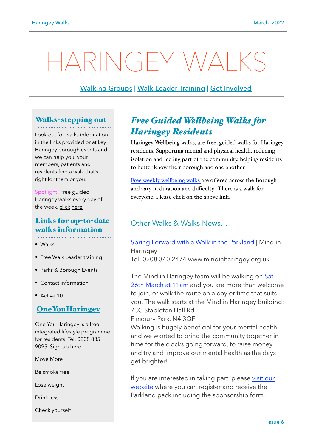# RINGEY WALKS

## [Walking Groups](https://www.haringey.gov.uk/parking-roads-and-travel/travel/walking/haringey-walks) | [Walk Leader Training](mailto:Pamela.Harbige@fusion-lifestyle.com?subject=Wellbeing%20Walk%20Leader%20Training%20) | [Get Involved](https://www.haringey.gov.uk/parking-roads-and-travel/travel/walking/walking-groups)

## Walks-stepping out

Look out for walks information in the links provided or at key Haringey borough events and we can help you, your members, patients and residents find a walk that's right for them or you.

Spotlight: Free guided Haringey walks every day of the week. [click](https://www.walkingforhealth.org.uk/walkfinder/haringey-walk-way) [here](https://www.walkingforhealth.org.uk/walkfinder/haringey-walk-way)

# Links for up-to-date walks information

- [Walks](https://www.haringey.gov.uk/parking-roads-and-travel/travel/walking/haringey-walks)
- [Free Walk Leader training](https://www.haringey.gov.uk/parking-roads-and-travel/travel/walking/walking-groups)
- [Parks & Borough Events](https://www.haringey.gov.uk/parking-roads-and-travel/travel/walking)
- [Contact](https://www.haringey.gov.uk/parking-roads-and-travel/travel/walking/walking-groups) information
- [Active 10](https://www.nhs.uk/better-health/get-active/)

## **[OneYouHaringey](https://www.oneyouharingey.org)**

One You Haringey is a free integrated lifestyle programme for residents. Tel: 0208 885 9095. [Sign-up here](https://www.oneyouharingey.org)

[Move More](https://www.oneyouharingey.org/move-more/) 

[Be smoke free](https://www.oneyouharingey.org/smoke-free/)

[Lose weight](https://www.oneyouharingey.org/lose-weight/) 

[Drink less](https://www.oneyouharingey.org/lose-weight/) 

[Check yourself](https://www.oneyouharingey.org/lose-weight/)

## *Free Guided Wellbeing Walks for Haringey Residents*

Haringey Wellbeing walks, are free, guided walks for Haringey residents. Supporting mental and physical health, reducing isolation and feeling part of the community, helping residents to better know their borough and one another.

[Free weekly wellbeing walks](https://www.walkingforhealth.org.uk/walkfinder/haringey-walk-way) are offered across the Borough and vary in duration and difficulty. There is a walk for everyone. Please click on the above link.

## Other Walks & Walks News…

#### Spring Forward with a Walk in the Parkland | Mind in Haringey Tel: 0208 340 2474 www.mindinharingey.org.uk

The Mind in Haringey team will be walking on Sat 26th March at 11am and you are more than welcome to join, or walk the route on a day or time that suits you. The walk starts at the Mind in Haringey building: 73C Stapleton Hall Rd

Finsbury Park, N4 3QF

Walking is hugely beneficial for your mental health and we wanted to bring the community together in time for the clocks going forward, to raise money and try and improve our mental health as the days get brighter!

If you are interested in taking part, please [visit our](https://www.mindinharingey.org.uk/donations/a-walk-in-the-parkland-in-aid-of-mind-in-haringey-2/)  [website](https://www.mindinharingey.org.uk/donations/a-walk-in-the-parkland-in-aid-of-mind-in-haringey-2/) where you can register and receive the Parkland pack including the sponsorship form.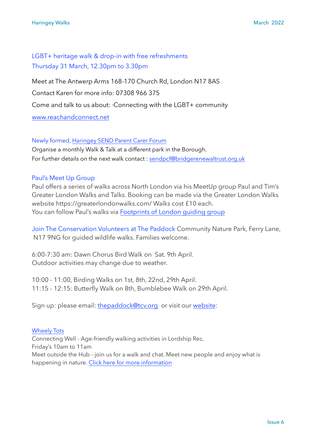## LGBT+ heritage walk & drop-in with free refreshments Thursday 31 March, 12.30pm to 3.30pm

Meet at The Antwerp Arms 168-170 Church Rd, London N17 8AS Contact Karen for more info: 07308 966 375 Come and talk to us about: ·Connecting with the LGBT+ community [www.reachandconnect.net](http://www.reachandconnect.net)

Newly formed, [Haringey SEND Parent Carer Forum](https://www.bridgerenewaltrust.org.uk/haringey-send-parent-carer-forum)

Organise a monthly Walk & Talk at a different park in the Borough. For further details on the next walk contact : [sendpcf@bridgerenewaltrust.org.uk](mailto:sendpcf@bridgerenewaltrust.org.uk)

## Paul's Meet Up Group

Paul offers a series of walks across North London via his MeetUp group Paul and Tim's Greater London Walks and Talks. Booking can be made via the Greater London Walks website https://greaterlondonwalks.com/ Walks cost £10 each. You can follow Paul's walks via [Footprints of London guiding group](https://footprintsoflondon.com/live/guides/oonagh-gay/)

Join The Conservation Volunteers at The Paddock Community Nature Park, Ferry Lane, N17 9NG for guided wildlife walks. Families welcome.

6:00-7:30 am: Dawn Chorus Bird Walk on Sat. 9th April. Outdoor activities may change due to weather.

10:00 - 11:00, Birding Walks on 1st, 8th, 22nd, 29th April. 11:15 - 12:15: Butterfly Walk on 8th, Bumblebee Walk on 29th April.

Sign up: please email: [thepaddock@tcv.org](mailto:thepaddock@tcv.org?subject=April%20Walks%20at%20the%20Paddock) or visit our [website](https://www.tcv.org.uk/london/haringey/):

## [Wheely Tots](https://wheelytots.com/walking/)

Connecting Well - Age-friendly walking activities in Lordship Rec. Friday's 10am to 11am Meet outside the Hub - join us for a walk and chat. Meet new people and enjoy what is happening in nature. [Click here for more information](https://wheelytots.com/walking)